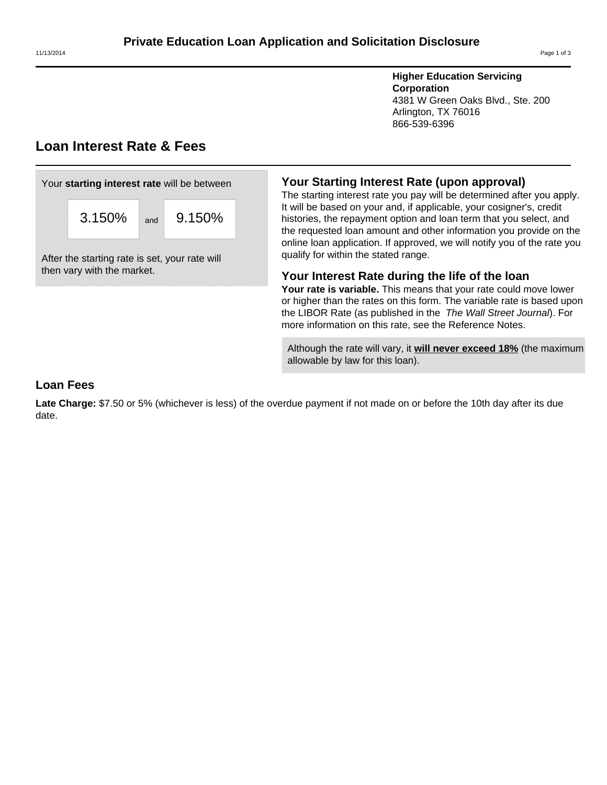**Higher Education Servicing Corporation** 4381 W Green Oaks Blvd., Ste. 200 Arlington, TX 76016 866-539-6396

# **Loan Interest Rate & Fees**

| Your starting interest rate will be between |        |     |        |  |  |  |
|---------------------------------------------|--------|-----|--------|--|--|--|
|                                             | 3.150% | and | 9.150% |  |  |  |

After the starting rate is set, your rate will then vary with the market.

# **Your Starting Interest Rate (upon approval)**

The starting interest rate you pay will be determined after you apply. It will be based on your and, if applicable, your cosigner's, credit histories, the repayment option and loan term that you select, and the requested loan amount and other information you provide on the online loan application. If approved, we will notify you of the rate you qualify for within the stated range.

# **Your Interest Rate during the life of the loan**

**Your rate is variable.** This means that your rate could move lower or higher than the rates on this form. The variable rate is based upon the LIBOR Rate (as published in the The Wall Street Journal). For more information on this rate, see the Reference Notes.

Although the rate will vary, it **will never exceed 18%** (the maximum allowable by law for this loan).

# **Loan Fees**

**Late Charge:** \$7.50 or 5% (whichever is less) of the overdue payment if not made on or before the 10th day after its due date.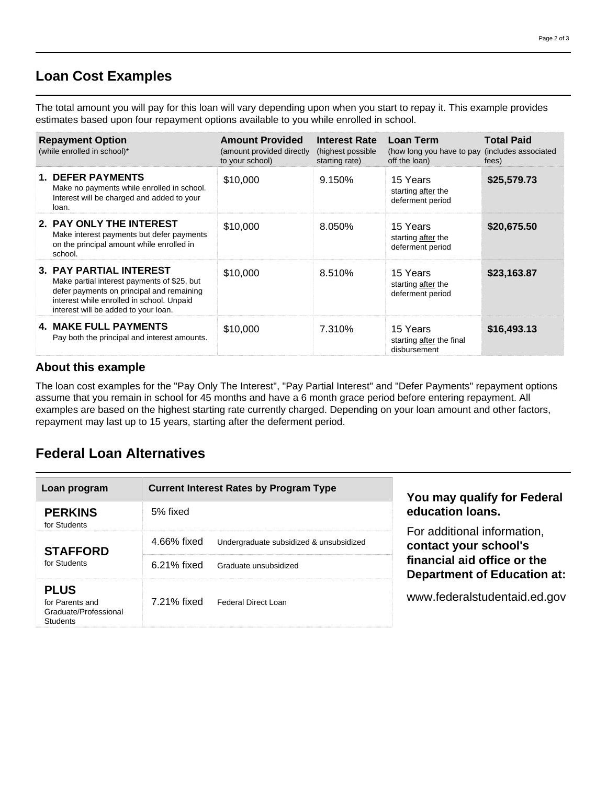# **Loan Cost Examples**

The total amount you will pay for this loan will vary depending upon when you start to repay it. This example provides estimates based upon four repayment options available to you while enrolled in school.

| <b>Repayment Option</b><br>(while enrolled in school)* |                                                                                                                                                                                                                 | <b>Amount Provided</b><br>(amount provided directly<br>to your school) | <b>Interest Rate</b><br>(highest possible<br>starting rate) | Loan Term<br>(how long you have to pay (includes associated<br>off the loan) | <b>Total Paid</b><br>fees) |
|--------------------------------------------------------|-----------------------------------------------------------------------------------------------------------------------------------------------------------------------------------------------------------------|------------------------------------------------------------------------|-------------------------------------------------------------|------------------------------------------------------------------------------|----------------------------|
|                                                        | <b>1. DEFER PAYMENTS</b><br>Make no payments while enrolled in school.<br>Interest will be charged and added to your<br>loan.                                                                                   | \$10,000                                                               | 9.150%                                                      | 15 Years<br>starting after the<br>deferment period                           | \$25,579.73                |
|                                                        | 2. PAY ONLY THE INTEREST<br>Make interest payments but defer payments<br>on the principal amount while enrolled in<br>school.                                                                                   | \$10,000                                                               | 8.050%                                                      | 15 Years<br>starting after the<br>deferment period                           | \$20,675.50                |
|                                                        | <b>3. PAY PARTIAL INTEREST</b><br>Make partial interest payments of \$25, but<br>defer payments on principal and remaining<br>interest while enrolled in school. Unpaid<br>interest will be added to your loan. | \$10,000                                                               | 8.510%                                                      | 15 Years<br>starting after the<br>deferment period                           | \$23,163.87                |
|                                                        | <b>4. MAKE FULL PAYMENTS</b><br>Pay both the principal and interest amounts.                                                                                                                                    | \$10,000                                                               | 7.310%                                                      | 15 Years<br>starting after the final<br>disbursement                         | \$16,493.13                |

# **About this example**

The loan cost examples for the "Pay Only The Interest", "Pay Partial Interest" and "Defer Payments" repayment options assume that you remain in school for 45 months and have a 6 month grace period before entering repayment. All examples are based on the highest starting rate currently charged. Depending on your loan amount and other factors, repayment may last up to 15 years, starting after the deferment period.

# **Federal Loan Alternatives**

| Loan program                                                               | <b>Current Interest Rates by Program Type</b>          | You may qualify for Federal<br>education loans.                   |  |
|----------------------------------------------------------------------------|--------------------------------------------------------|-------------------------------------------------------------------|--|
| <b>PERKINS</b><br>for Students                                             | 5% fixed                                               |                                                                   |  |
| <b>STAFFORD</b>                                                            | 4.66% fixed<br>Undergraduate subsidized & unsubsidized | For additional information,<br>contact your school's              |  |
| for Students                                                               | 6.21% fixed<br>Graduate unsubsidized                   | financial aid office or the<br><b>Department of Education at:</b> |  |
| <b>PLUS</b><br>for Parents and<br>Graduate/Professional<br><b>Students</b> | 7.21% fixed<br>Federal Direct Loan                     | www.federalstudentaid.ed.gov                                      |  |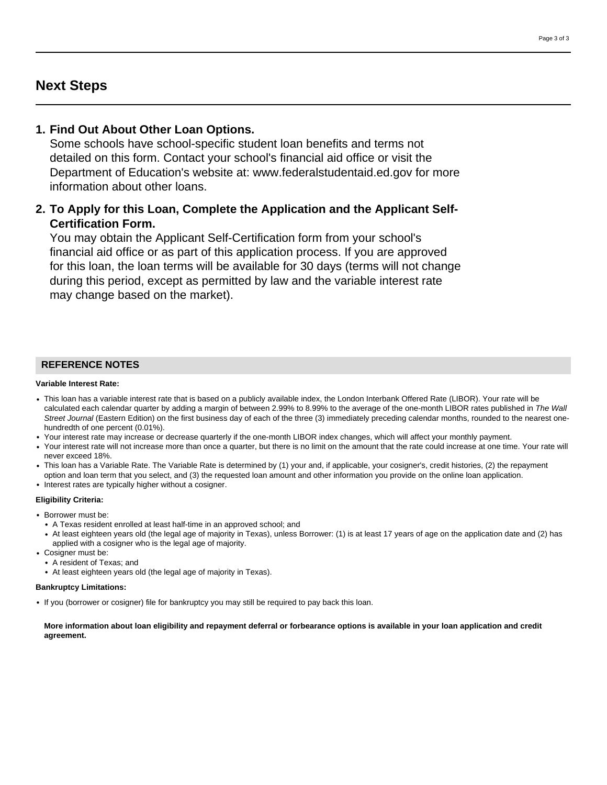# **Next Steps**

## **1. Find Out About Other Loan Options.**

Some schools have school-specific student loan benefits and terms not detailed on this form. Contact your school's financial aid office or visit the Department of Education's website at: www.federalstudentaid.ed.gov for more information about other loans.

# **2. To Apply for this Loan, Complete the Application and the Applicant Self-Certification Form.**

You may obtain the Applicant Self-Certification form from your school's financial aid office or as part of this application process. If you are approved for this loan, the loan terms will be available for 30 days (terms will not change during this period, except as permitted by law and the variable interest rate may change based on the market).

### **REFERENCE NOTES**

#### **Variable Interest Rate:**

- This loan has a variable interest rate that is based on a publicly available index, the London Interbank Offered Rate (LIBOR). Your rate will be calculated each calendar quarter by adding a margin of between 2.99% to 8.99% to the average of the one-month LIBOR rates published in The Wall Street Journal (Eastern Edition) on the first business day of each of the three (3) immediately preceding calendar months, rounded to the nearest onehundredth of one percent (0.01%).
- Your interest rate may increase or decrease quarterly if the one-month LIBOR index changes, which will affect your monthly payment.
- Your interest rate will not increase more than once a quarter, but there is no limit on the amount that the rate could increase at one time. Your rate will never exceed 18%.
- This loan has a Variable Rate. The Variable Rate is determined by (1) your and, if applicable, your cosigner's, credit histories, (2) the repayment option and loan term that you select, and (3) the requested loan amount and other information you provide on the online loan application.
- Interest rates are typically higher without a cosigner.

#### **Eligibility Criteria:**

- Borrower must be:
	- A Texas resident enrolled at least half-time in an approved school; and
	- At least eighteen years old (the legal age of majority in Texas), unless Borrower: (1) is at least 17 years of age on the application date and (2) has applied with a cosigner who is the legal age of majority.
- Cosigner must be:
	- A resident of Texas; and
	- At least eighteen years old (the legal age of majority in Texas).

#### **Bankruptcy Limitations:**

• If you (borrower or cosigner) file for bankruptcy you may still be required to pay back this loan.

#### **More information about loan eligibility and repayment deferral or forbearance options is available in your loan application and credit agreement.**